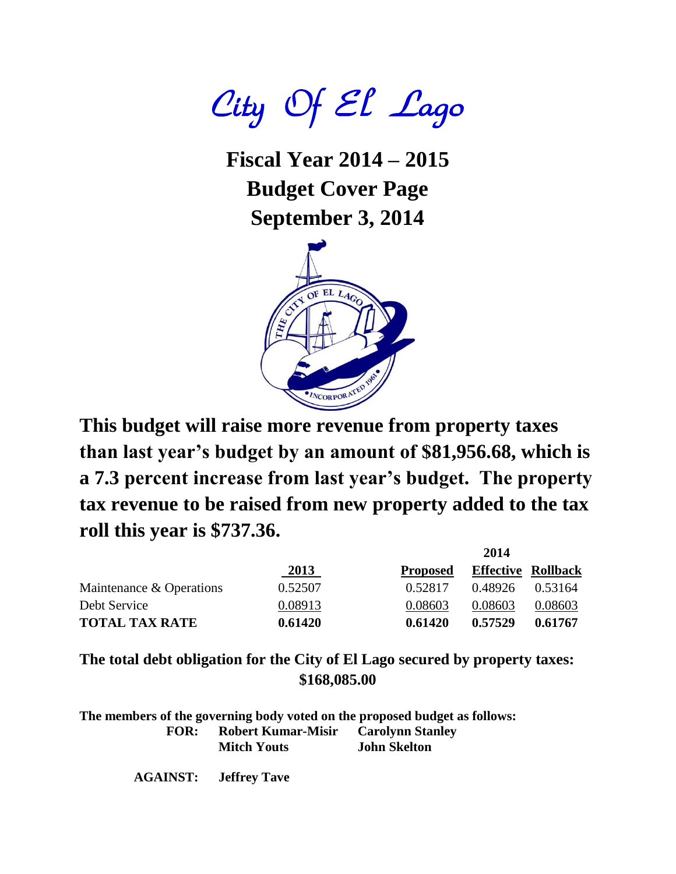City Of El Lago

**Fiscal Year 2014 – 2015 Budget Cover Page September 3, 2014**



**This budget will raise more revenue from property taxes than last year's budget by an amount of \$81,956.68, which is a 7.3 percent increase from last year's budget. The property tax revenue to be raised from new property added to the tax roll this year is \$737.36.**

|                          |         |                 | 2014                      |         |
|--------------------------|---------|-----------------|---------------------------|---------|
|                          | 2013    | <b>Proposed</b> | <b>Effective Rollback</b> |         |
| Maintenance & Operations | 0.52507 | 0.52817         | 0.48926                   | 0.53164 |
| Debt Service             | 0.08913 | 0.08603         | 0.08603                   | 0.08603 |
| <b>TOTAL TAX RATE</b>    | 0.61420 | 0.61420         | 0.57529                   | 0.61767 |

**The total debt obligation for the City of El Lago secured by property taxes: \$168,085.00**

**The members of the governing body voted on the proposed budget as follows: FOR: Robert Kumar-Misir Carolynn Stanley Mitch Youts John Skelton**

**AGAINST: Jeffrey Tave**